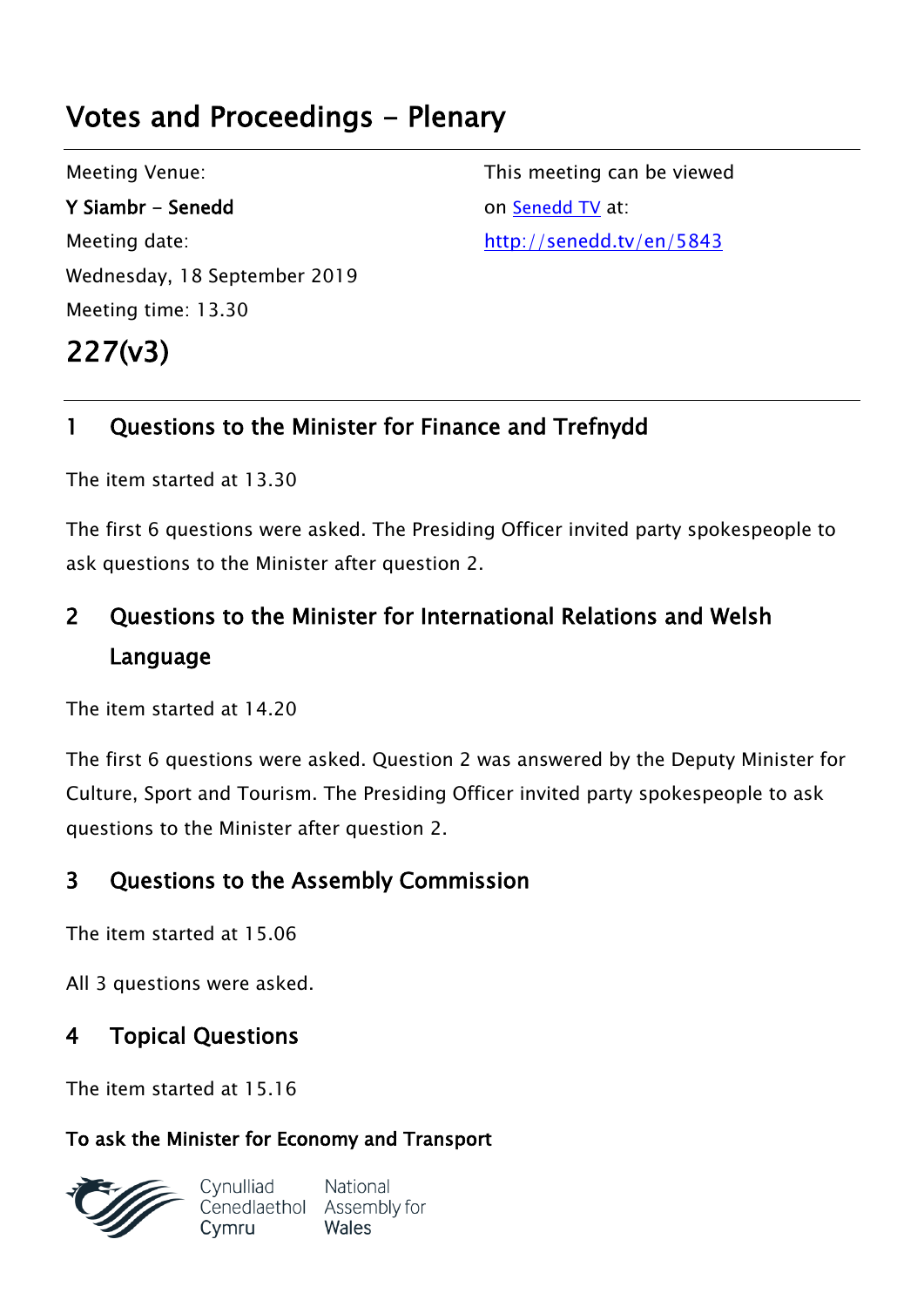# **Votes and Proceedings - Plenary**

Meeting Venue: **Y Siambr - Senedd** Meeting date: Wednesday, 18 September 2019 Meeting time: 13.30 **227(v3)** 

This meeting can be viewed on [Senedd](http://senedd.tv/) TV at: http://senedd.tv/en/5843

# **1 Questions to the Minister for Finance and Trefnydd**

The item started at 13.30

The first 6 questions were asked. The Presiding Officer invited party spokespeople to ask questions to the Minister after question 2.

# **2 Questions to the Minister for International Relations and Welsh Language**

The item started at 14.20

The first 6 questions were asked. Question 2 was answered by the Deputy Minister for Culture, Sport and Tourism. The Presiding Officer invited party spokespeople to ask questions to the Minister after question 2.

# **3 Questions to the Assembly Commission**

The item started at 15.06

All 3 questions were asked.

# **4 Topical Questions**

The item started at 15.16

## **To ask the Minister for Economy and Transport**

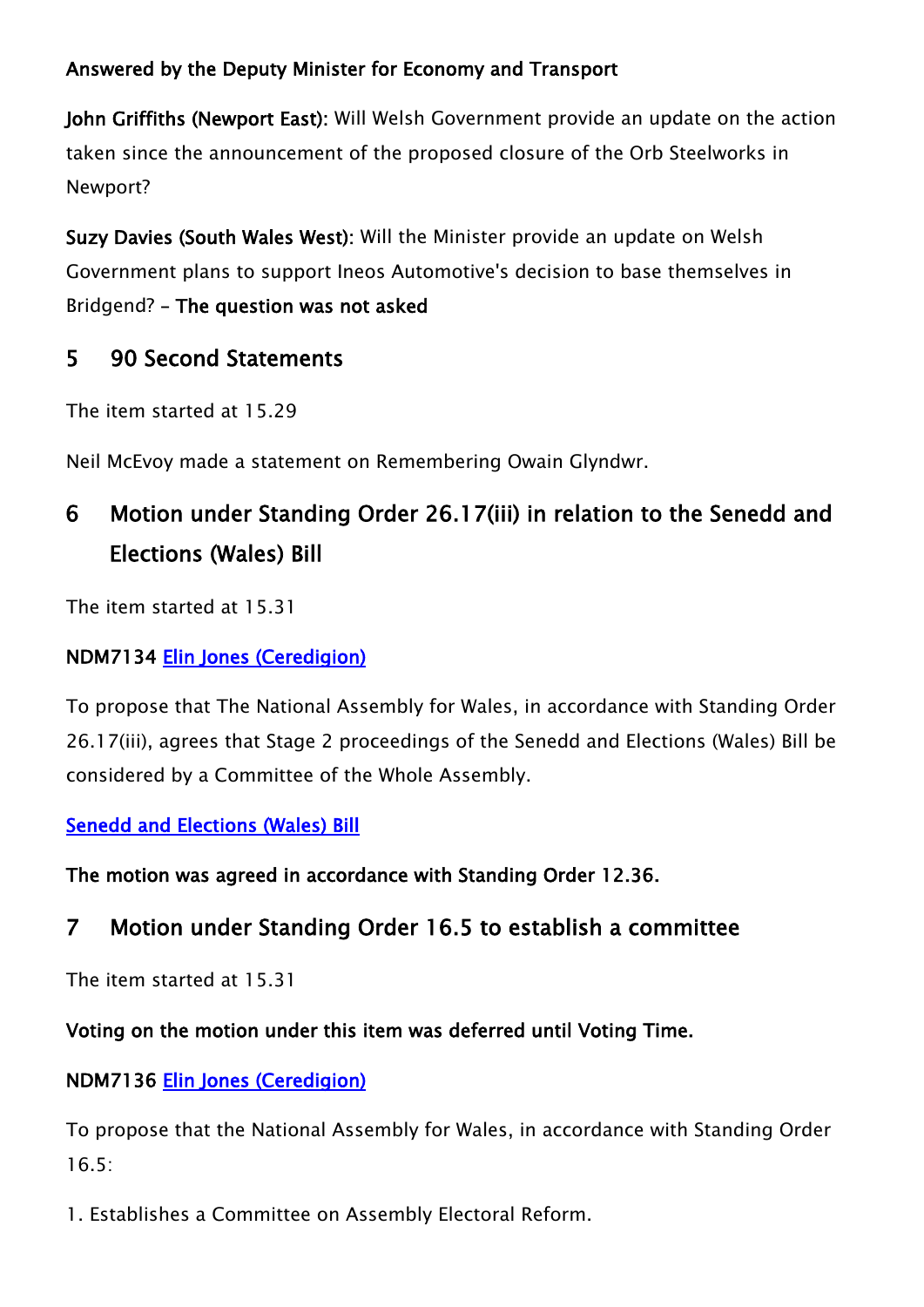### **Answered by the Deputy Minister for Economy and Transport**

**John Griffiths (Newport East):** Will Welsh Government provide an update on the action taken since the announcement of the proposed closure of the Orb Steelworks in Newport?

**Suzy Davies (South Wales West):** Will the Minister provide an update on Welsh Government plans to support Ineos Automotive's decision to base themselves in Bridgend? **– The question was not asked**

# **5 90 Second Statements**

The item started at 15.29

Neil McEvoy made a statement on Remembering Owain Glyndwr.

# **6 Motion under Standing Order 26.17(iii) in relation to the Senedd and Elections (Wales) Bill**

The item started at 15.31

#### **NDM7134 [Elin Jones \(Ceredigion\)](http://www.assembly.wales/en/memhome/Pages/MemberProfile.aspx?mid=162)**

To propose that The National Assembly for Wales, in accordance with Standing Order 26.17(iii), agrees that Stage 2 proceedings of the Senedd and Elections (Wales) Bill be considered by a Committee of the Whole Assembly.

#### **[Senedd and Elections \(Wales\) Bill](http://www.assembly.wales/laid%20documents/pri-ld12142/pri-ld12142-e.pdf)**

**The motion was agreed in accordance with Standing Order 12.36.**

# **7 Motion under Standing Order 16.5 to establish a committee**

The item started at 15.31

#### **Voting on the motion under this item was deferred until Voting Time.**

## **NDM7136 [Elin Jones \(Ceredigion\)](http://www.assembly.wales/en/memhome/Pages/MemberProfile.aspx?mid=162)**

To propose that the National Assembly for Wales, in accordance with Standing Order 16.5:

1. Establishes a Committee on Assembly Electoral Reform.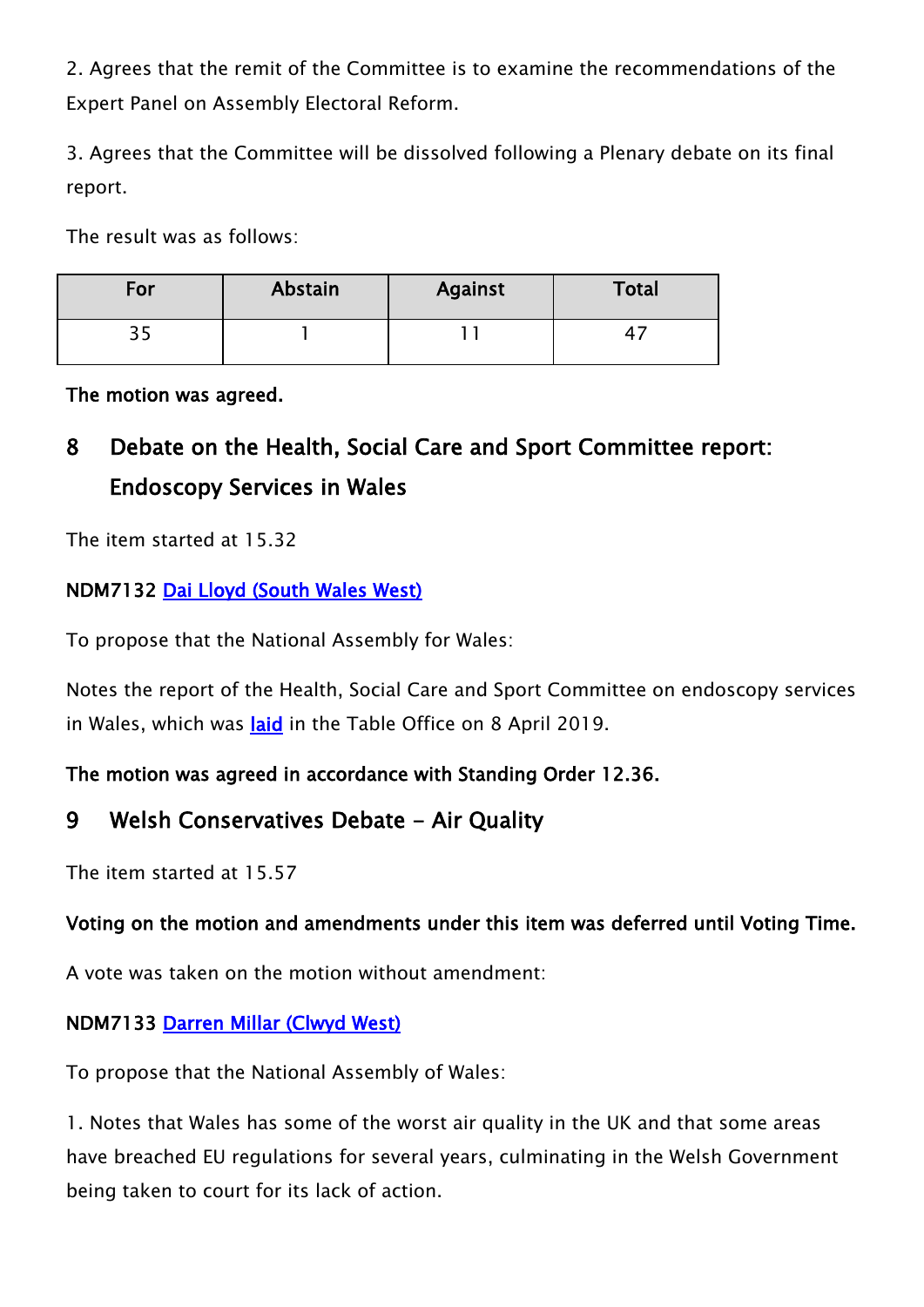2. Agrees that the remit of the Committee is to examine the recommendations of the Expert Panel on Assembly Electoral Reform.

3. Agrees that the Committee will be dissolved following a Plenary debate on its final report.

The result was as follows:

| For        | Abstain | <b>Against</b> | <b>Total</b> |
|------------|---------|----------------|--------------|
| <b>پ</b> پ |         |                |              |

**The motion was agreed.**

# **8 Debate on the Health, Social Care and Sport Committee report: Endoscopy Services in Wales**

The item started at 15.32

### **NDM7132 [Dai Lloyd \(South Wales West\)](http://www.assembly.wales/en/memhome/Pages/MemberProfile.aspx?mid=167)**

To propose that the National Assembly for Wales:

Notes the report of the Health, Social Care and Sport Committee on endoscopy services in Wales, which was **[laid](http://www.cynulliad.cymru/laid%20documents/cr-ld12492/cr-ld12492-e.pdf)** in the Table Office on 8 April 2019.

#### **The motion was agreed in accordance with Standing Order 12.36.**

## **9 Welsh Conservatives Debate - Air Quality**

The item started at 15.57

## **Voting on the motion and amendments under this item was deferred until Voting Time.**

A vote was taken on the motion without amendment:

#### **NDM7133 [Darren Millar \(Clwyd West\)](http://www.assembly.wales/en/memhome/Pages/MemberProfile.aspx?mid=171)**

To propose that the National Assembly of Wales:

1. Notes that Wales has some of the worst air quality in the UK and that some areas have breached EU regulations for several years, culminating in the Welsh Government being taken to court for its lack of action.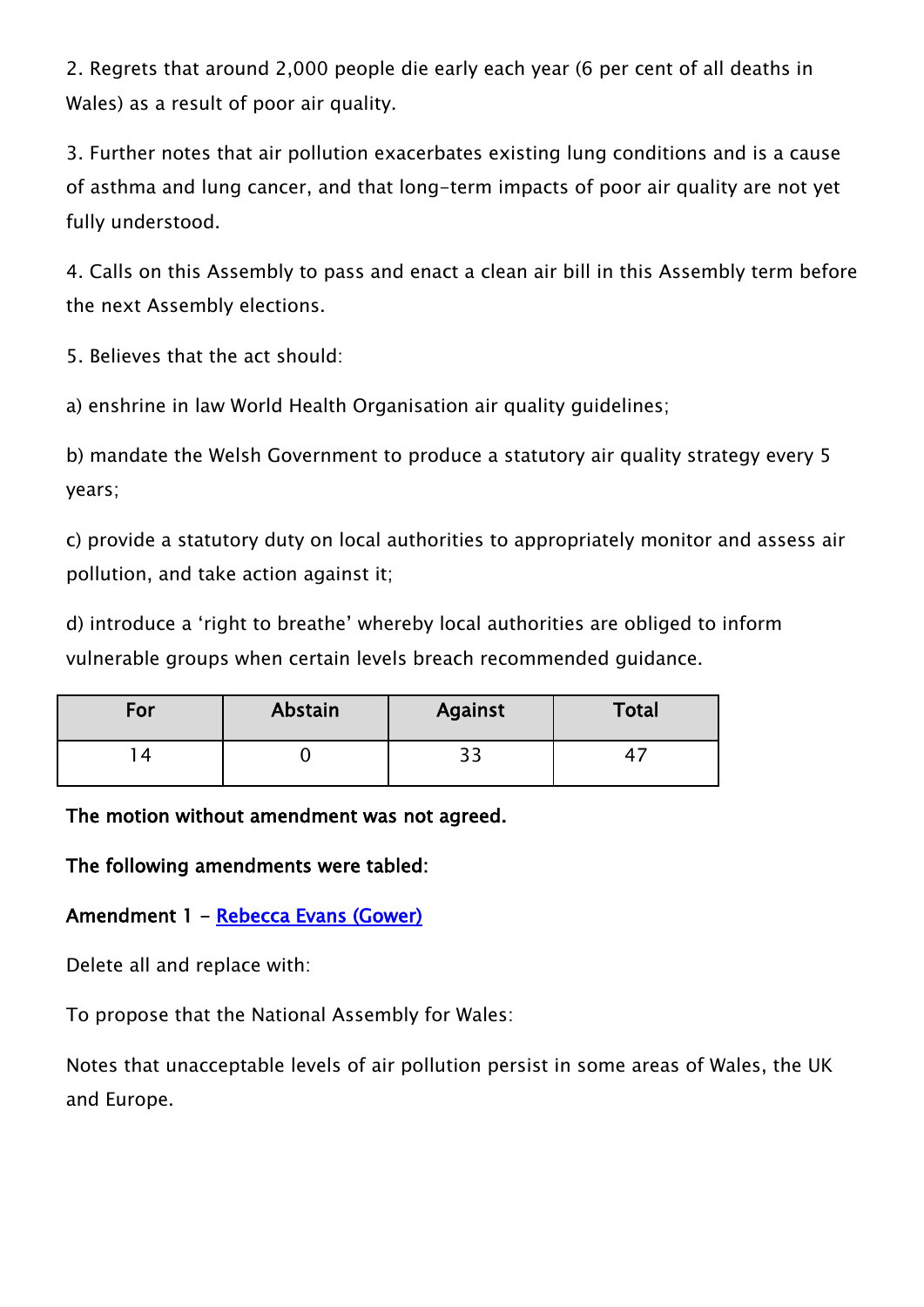2. Regrets that around 2,000 people die early each year (6 per cent of all deaths in Wales) as a result of poor air quality.

3. Further notes that air pollution exacerbates existing lung conditions and is a cause of asthma and lung cancer, and that long-term impacts of poor air quality are not yet fully understood.

4. Calls on this Assembly to pass and enact a clean air bill in this Assembly term before the next Assembly elections.

5. Believes that the act should:

a) enshrine in law World Health Organisation air quality guidelines;

b) mandate the Welsh Government to produce a statutory air quality strategy every 5 years;

c) provide a statutory duty on local authorities to appropriately monitor and assess air pollution, and take action against it;

d) introduce a 'right to breathe' whereby local authorities are obliged to inform vulnerable groups when certain levels breach recommended guidance.

| For | Abstain | <b>Against</b> | <b>Total</b> |
|-----|---------|----------------|--------------|
|     |         | າ :<br>ں ب     |              |

#### **The motion without amendment was not agreed.**

**The following amendments were tabled:**

#### **Amendment 1 - [Rebecca Evans \(Gower\)](http://www.assembly.wales/en/memhome/Pages/MemberProfile.aspx?mid=375)**

Delete all and replace with:

To propose that the National Assembly for Wales:

Notes that unacceptable levels of air pollution persist in some areas of Wales, the UK and Europe.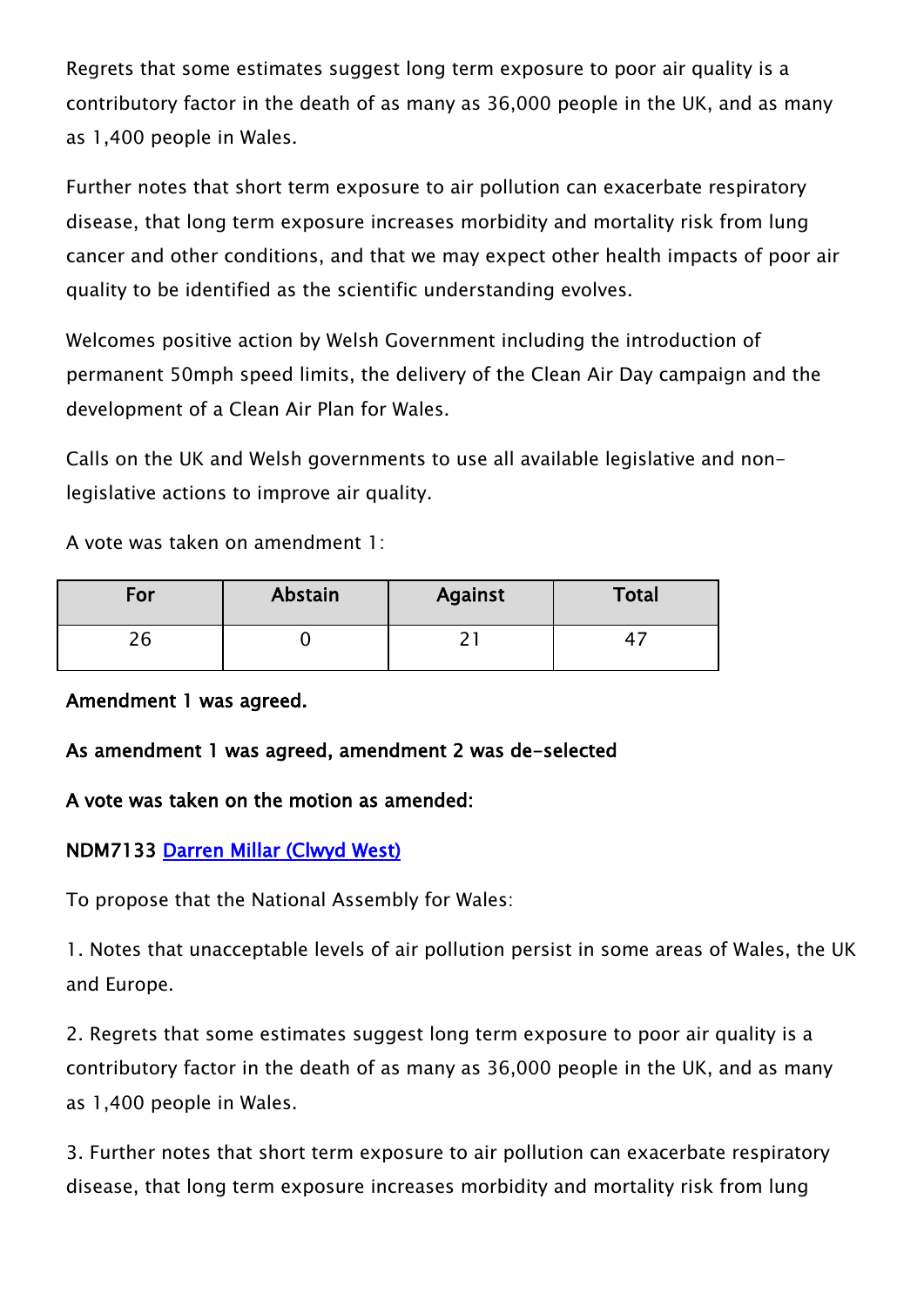Regrets that some estimates suggest long term exposure to poor air quality is a contributory factor in the death of as many as 36,000 people in the UK, and as many as 1,400 people in Wales.

Further notes that short term exposure to air pollution can exacerbate respiratory disease, that long term exposure increases morbidity and mortality risk from lung cancer and other conditions, and that we may expect other health impacts of poor air quality to be identified as the scientific understanding evolves.

Welcomes positive action by Welsh Government including the introduction of permanent 50mph speed limits, the delivery of the Clean Air Day campaign and the development of a Clean Air Plan for Wales.

Calls on the UK and Welsh governments to use all available legislative and nonlegislative actions to improve air quality.

A vote was taken on amendment 1:

| For       | Abstain | <b>Against</b> | Total |
|-----------|---------|----------------|-------|
| ית<br>2 Q |         |                |       |

#### **Amendment 1 was agreed.**

#### **As amendment 1 was agreed, amendment 2 was de-selected**

#### **A vote was taken on the motion as amended:**

#### **NDM7133 [Darren Millar \(Clwyd West\)](http://www.assembly.wales/en/memhome/Pages/MemberProfile.aspx?mid=171)**

To propose that the National Assembly for Wales:

1. Notes that unacceptable levels of air pollution persist in some areas of Wales, the UK and Europe.

2. Regrets that some estimates suggest long term exposure to poor air quality is a contributory factor in the death of as many as 36,000 people in the UK, and as many as 1,400 people in Wales.

3. Further notes that short term exposure to air pollution can exacerbate respiratory disease, that long term exposure increases morbidity and mortality risk from lung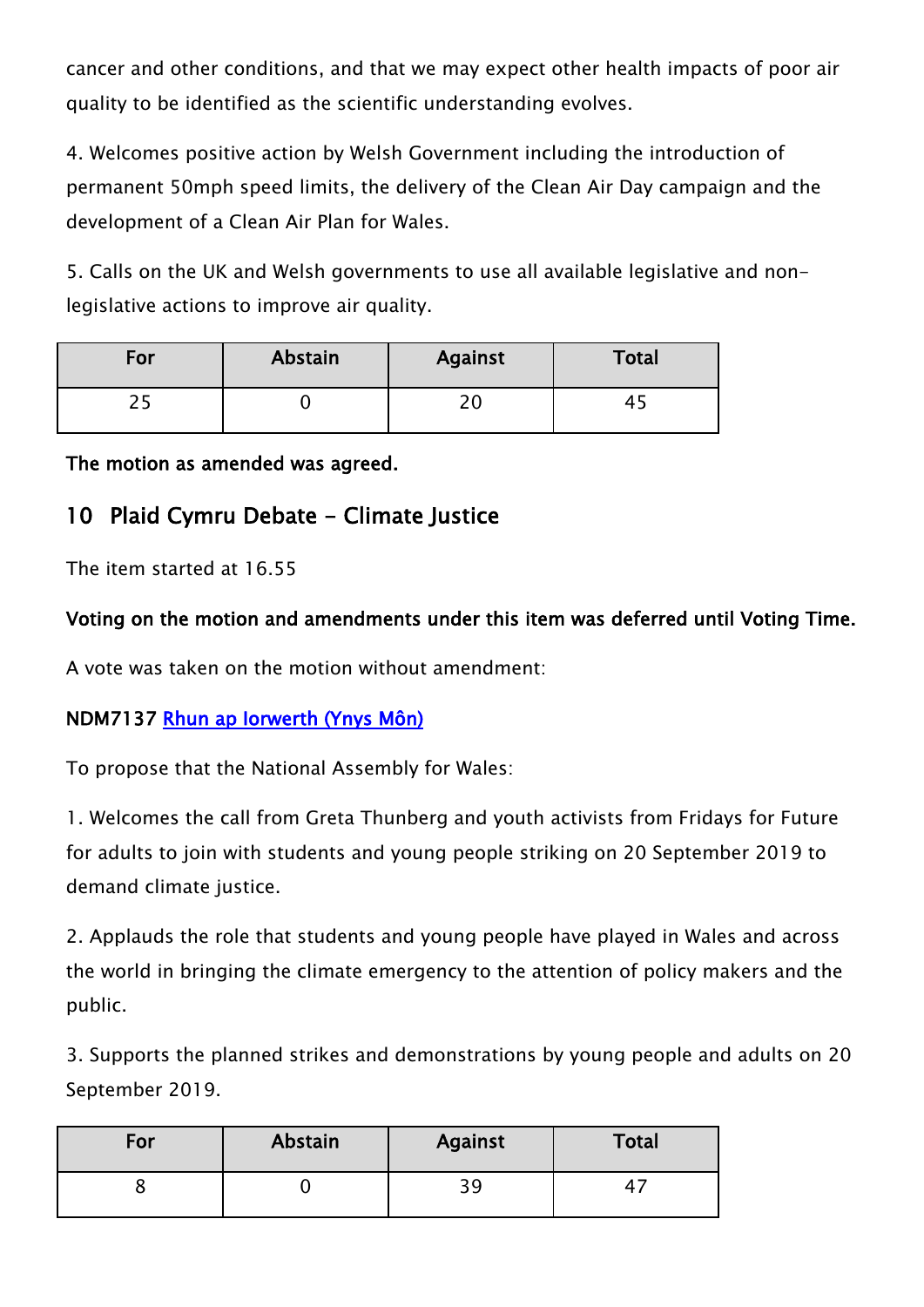cancer and other conditions, and that we may expect other health impacts of poor air quality to be identified as the scientific understanding evolves.

4. Welcomes positive action by Welsh Government including the introduction of permanent 50mph speed limits, the delivery of the Clean Air Day campaign and the development of a Clean Air Plan for Wales.

5. Calls on the UK and Welsh governments to use all available legislative and nonlegislative actions to improve air quality.

| For | Abstain | Against    | <b>Total</b> |
|-----|---------|------------|--------------|
|     |         | ົາ ເ<br>∠⊾ | <u>я.</u>    |

**The motion as amended was agreed.**

# **10 Plaid Cymru Debate - Climate Justice**

The item started at 16.55

### **Voting on the motion and amendments under this item was deferred until Voting Time.**

A vote was taken on the motion without amendment:

#### **NDM7137 [Rhun ap Iorwerth \(Ynys Môn\)](http://www.assembly.wales/en/memhome/Pages/MemberProfile.aspx?mid=2717)**

To propose that the National Assembly for Wales:

1. Welcomes the call from Greta Thunberg and youth activists from Fridays for Future for adults to join with students and young people striking on 20 September 2019 to demand climate justice.

2. Applauds the role that students and young people have played in Wales and across the world in bringing the climate emergency to the attention of policy makers and the public.

3. Supports the planned strikes and demonstrations by young people and adults on 20 September 2019.

| For | Abstain | <b>Against</b> | <b>Total</b> |
|-----|---------|----------------|--------------|
|     |         | 39             |              |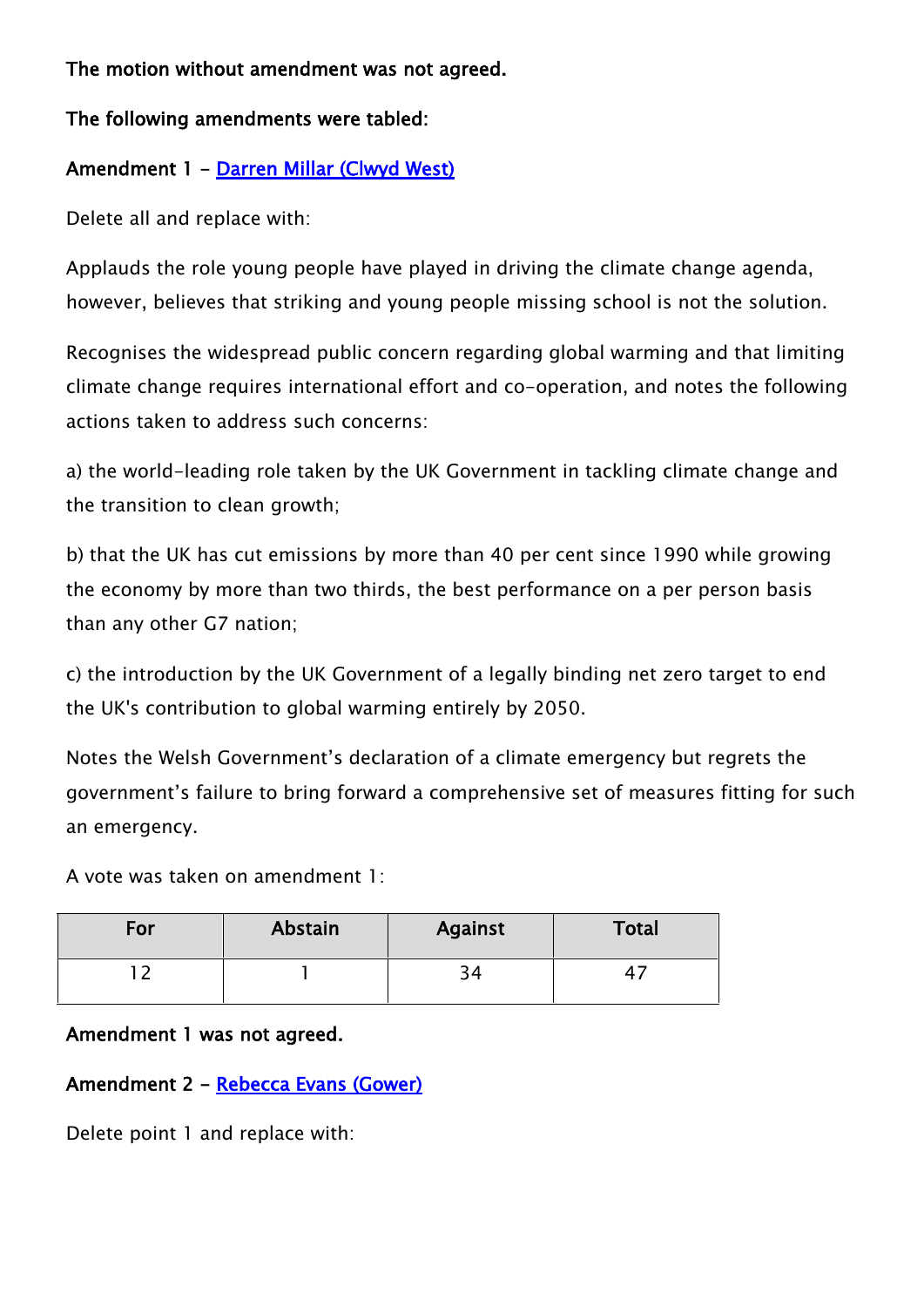#### **The motion without amendment was not agreed.**

#### **The following amendments were tabled:**

#### **Amendment 1 - [Darren Millar \(Clwyd West\)](http://www.assembly.wales/en/memhome/Pages/MemberProfile.aspx?mid=171)**

Delete all and replace with:

Applauds the role young people have played in driving the climate change agenda, however, believes that striking and young people missing school is not the solution.

Recognises the widespread public concern regarding global warming and that limiting climate change requires international effort and co-operation, and notes the following actions taken to address such concerns:

a) the world-leading role taken by the UK Government in tackling climate change and the transition to clean growth;

b) that the UK has cut emissions by more than 40 per cent since 1990 while growing the economy by more than two thirds, the best performance on a per person basis than any other G7 nation;

c) the introduction by the UK Government of a legally binding net zero target to end the UK's contribution to global warming entirely by 2050.

Notes the Welsh Government's declaration of a climate emergency but regrets the government's failure to bring forward a comprehensive set of measures fitting for such an emergency.

A vote was taken on amendment 1:

| For | Abstain | <b>Against</b> | <b>Total</b> |
|-----|---------|----------------|--------------|
|     |         | ົາ<br>54       |              |

#### **Amendment 1 was not agreed.**

#### **Amendment 2 - [Rebecca Evans \(Gower\)](http://www.assembly.wales/en/memhome/Pages/MemberProfile.aspx?mid=375)**

Delete point 1 and replace with: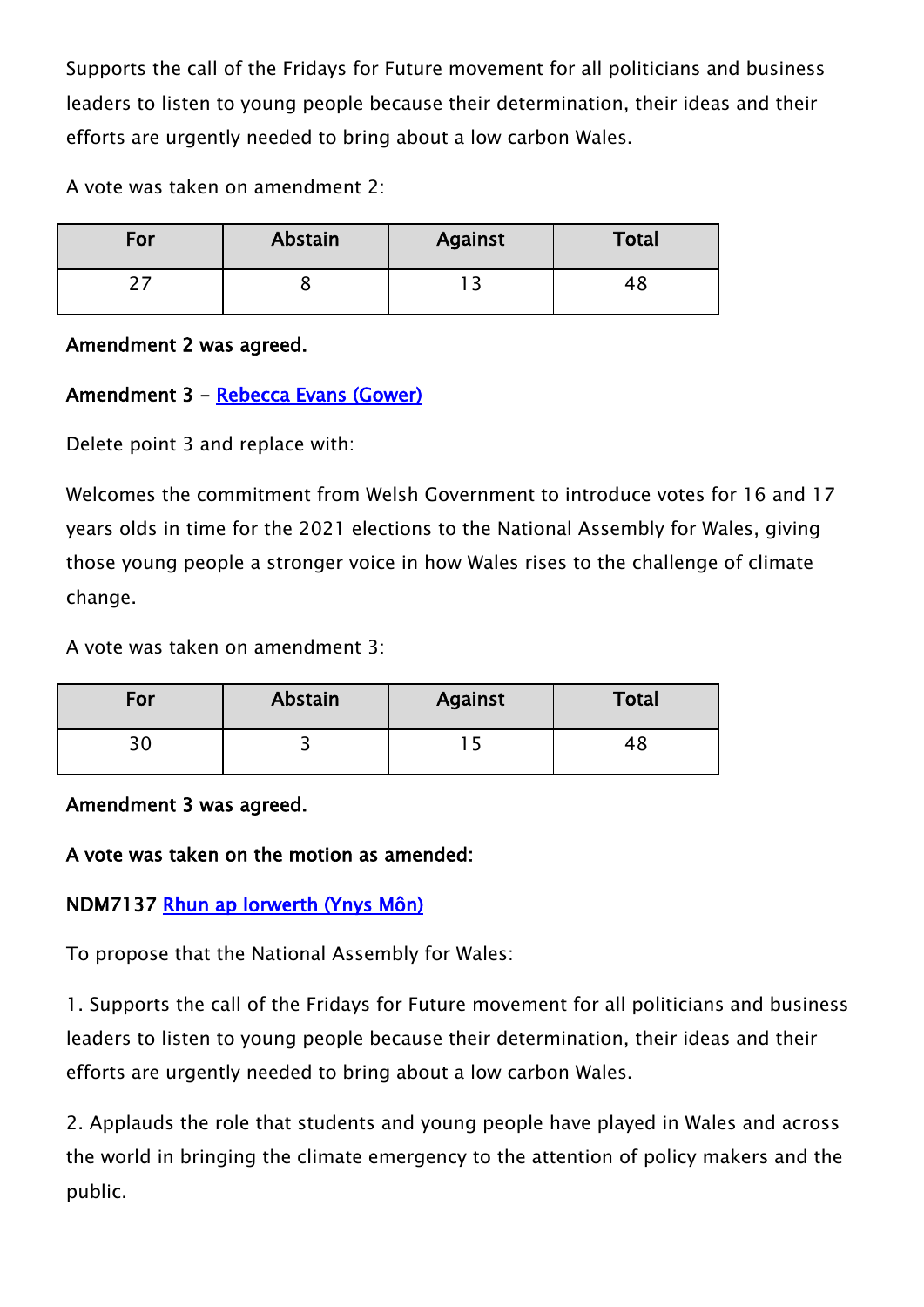Supports the call of the Fridays for Future movement for all politicians and business leaders to listen to young people because their determination, their ideas and their efforts are urgently needed to bring about a low carbon Wales.

A vote was taken on amendment 2:

| For | Abstain | <b>Against</b> | <b>Total</b> |
|-----|---------|----------------|--------------|
|     |         |                | 40           |

#### **Amendment 2 was agreed.**

## **Amendment 3 - [Rebecca Evans \(Gower\)](http://www.assembly.wales/en/memhome/Pages/MemberProfile.aspx?mid=375)**

Delete point 3 and replace with:

Welcomes the commitment from Welsh Government to introduce votes for 16 and 17 years olds in time for the 2021 elections to the National Assembly for Wales, giving those young people a stronger voice in how Wales rises to the challenge of climate change.

A vote was taken on amendment 3:

| For      | Abstain | <b>Against</b> | Total |
|----------|---------|----------------|-------|
| つい<br>JV | ັ       |                | 40    |

#### **Amendment 3 was agreed.**

#### **A vote was taken on the motion as amended:**

## **NDM7137 [Rhun ap Iorwerth \(Ynys Môn\)](http://www.assembly.wales/en/memhome/Pages/MemberProfile.aspx?mid=2717)**

To propose that the National Assembly for Wales:

1. Supports the call of the Fridays for Future movement for all politicians and business leaders to listen to young people because their determination, their ideas and their efforts are urgently needed to bring about a low carbon Wales.

2. Applauds the role that students and young people have played in Wales and across the world in bringing the climate emergency to the attention of policy makers and the public.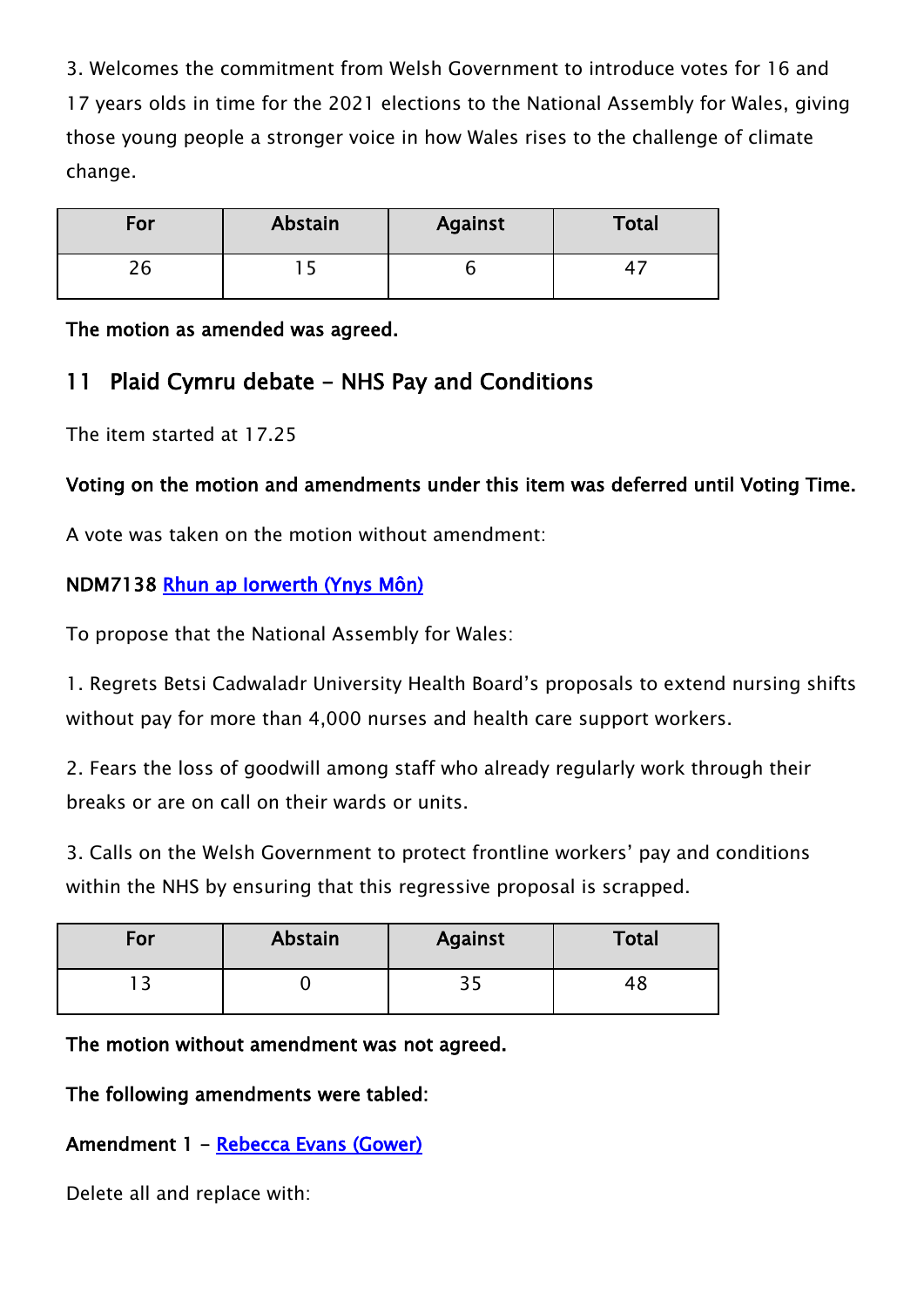3. Welcomes the commitment from Welsh Government to introduce votes for 16 and 17 years olds in time for the 2021 elections to the National Assembly for Wales, giving those young people a stronger voice in how Wales rises to the challenge of climate change.

| For       | Abstain | <b>Against</b> | <b>Total</b> |
|-----------|---------|----------------|--------------|
| n r<br>∠⊾ |         |                |              |

**The motion as amended was agreed.**

# **11 Plaid Cymru debate - NHS Pay and Conditions**

The item started at 17.25

## **Voting on the motion and amendments under this item was deferred until Voting Time.**

A vote was taken on the motion without amendment:

## **NDM7138 [Rhun ap Iorwerth \(Ynys Môn\)](http://www.assembly.wales/en/memhome/Pages/MemberProfile.aspx?mid=2717)**

To propose that the National Assembly for Wales:

1. Regrets Betsi Cadwaladr University Health Board's proposals to extend nursing shifts without pay for more than 4,000 nurses and health care support workers.

2. Fears the loss of goodwill among staff who already regularly work through their breaks or are on call on their wards or units.

3. Calls on the Welsh Government to protect frontline workers' pay and conditions within the NHS by ensuring that this regressive proposal is scrapped.

| For | Abstain | <b>Against</b> | <b>Total</b> |
|-----|---------|----------------|--------------|
|     |         | つじ<br>ر ر      |              |

#### **The motion without amendment was not agreed.**

**The following amendments were tabled:**

# **Amendment 1 - [Rebecca Evans \(Gower\)](http://www.assembly.wales/en/memhome/Pages/MemberProfile.aspx?mid=375)**

Delete all and replace with: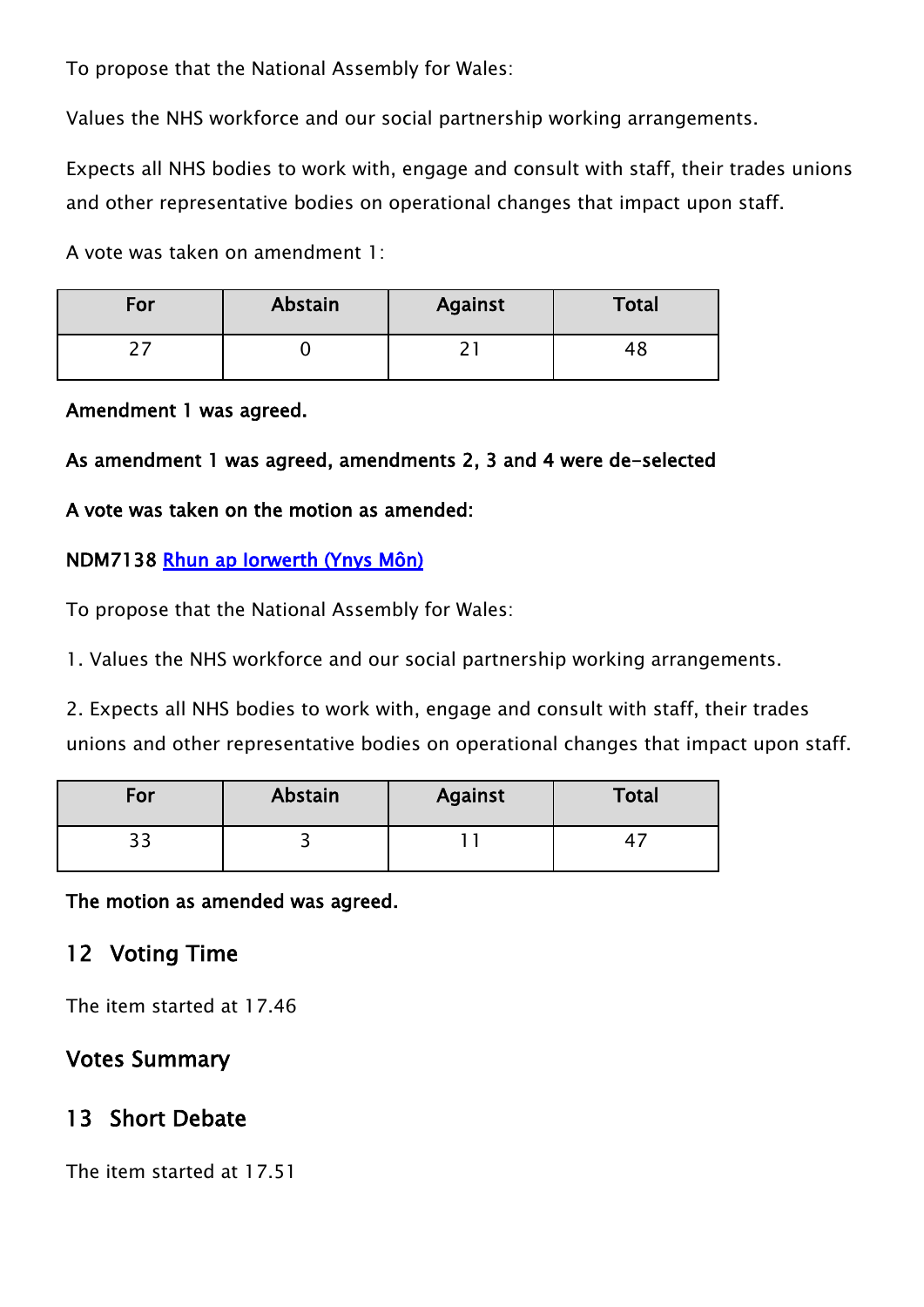To propose that the National Assembly for Wales:

Values the NHS workforce and our social partnership working arrangements.

Expects all NHS bodies to work with, engage and consult with staff, their trades unions and other representative bodies on operational changes that impact upon staff.

A vote was taken on amendment 1:

| For | Abstain | <b>Against</b> | <b>Total</b> |
|-----|---------|----------------|--------------|
|     |         | -              |              |

#### **Amendment 1 was agreed.**

### **As amendment 1 was agreed, amendments 2, 3 and 4 were de-selected**

#### **A vote was taken on the motion as amended:**

#### **NDM7138 [Rhun ap Iorwerth \(Ynys Môn\)](http://www.assembly.wales/en/memhome/Pages/MemberProfile.aspx?mid=2717)**

To propose that the National Assembly for Wales:

1. Values the NHS workforce and our social partnership working arrangements.

2. Expects all NHS bodies to work with, engage and consult with staff, their trades unions and other representative bodies on operational changes that impact upon staff.

| For        | Abstain | <b>Against</b> | <b>Total</b> |
|------------|---------|----------------|--------------|
| ־ י<br>J J |         |                | 4            |

**The motion as amended was agreed.**

# **12 Voting Time**

The item started at 17.46

# **Votes Summary**

# **13 Short Debate**

The item started at 17.51